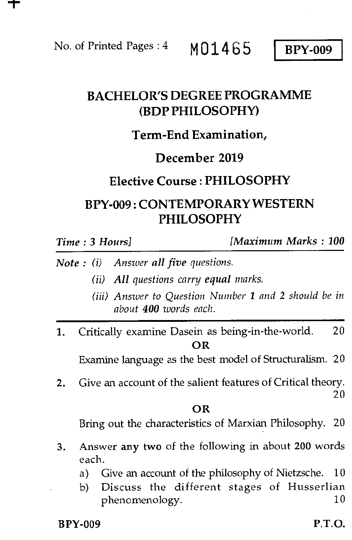No. of Printed Pages :  $4 \text{ M}01465 \text{ BPY-009}$ 

# BACHELOR'S DEGREE PROGRAMME (BDP PHILOSOPHY)

## Term-End Examination,

## December 2019

### Elective Course : PHILOSOPHY

# BPY-009 : CONTEMPORARY WESTERN PHILOSOPHY

*Time : 3 Hours] [Maximum Marks : 100* 

- *Note : (i) Answer all five questions.* 
	- *(ii) All questions carry equal marks.*
	- *(iii) Answer to Question Number 1 and* 2 *should be in about 400 words each.*
- 1. Critically examine Dasein as being-in-the-world. 20 OR

Examine language as the best model of Structuralism. 20

2. Give an account of the salient features of Critical theory. 20

#### OR

Bring out the characteristics of Marxian Philosophy. 20

- 3. Answer any two of the following in about 200 words each.
	- a) Give an account of the philosophy of Nietzsche. 10
	- b) Discuss the different stages of Husserlian phenomenology. 10

 $BPY-009$  P.T.O.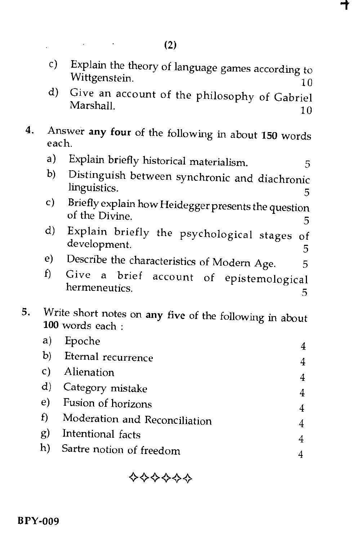c) Explain the theory of language games according to Wittgenstein.  $10$  ┱

d) Give an account of the philosophy of Gabriel Marshall. 10

4. Answer any four of the following in about 150 words each.

- a) Explain briefly historical materialism.<br>b) Distinguish between synchronic and displaced
- b) Distinguish between synchronic and diachronic linguistics. 5
- c) Briefly explain how Heidegger presents the question of the Divine.  $\frac{5}{5}$
- d) Explain briefly the psychological stages of development. 5
- e) Describe the characteristics of Modern Age.  $5$ <br>f) Give a brief account of enistemological
- account of epistemological hermeneutics. The contraction of the contraction of the contraction of the contraction of the contraction of the contraction of the contraction of the contraction of the contraction of the contraction of the contraction of
- 5. Write short notes on any five of the following in about 100 words each :

| a)           | Epoche                        |   |
|--------------|-------------------------------|---|
|              | b) Eternal recurrence         |   |
| C)           | Alienation                    |   |
| $\mathbf{d}$ | Category mistake              |   |
|              | e) Fusion of horizons         | 4 |
| f            | Moderation and Reconciliation |   |
| g)           | Intentional facts             |   |
|              | h) Sartre notion of freedom   |   |
|              |                               |   |

+.0-0.4-44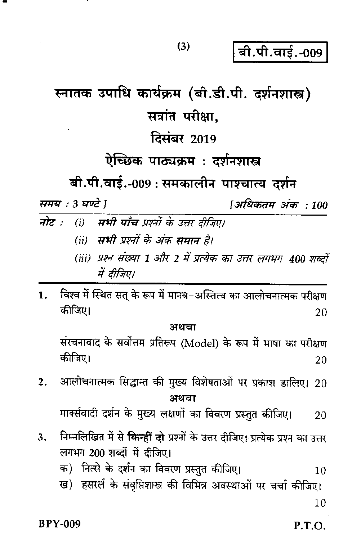P.T.O.

 $(3)$ 

बी.पी.वाई.-009

[अधिकतम अंक : 100

# स्नातक उपाधि कार्यक्रम (बी.डी.पी. दर्शनशास्त्र) सत्रांत परीक्षा.

# **दिसंबर 2019**

# ऐच्छिक पाठ्यक्रम: दर्शनशास्त्र

बी.पी.वाई.-009 : समकालीन पाश्चात्य दर्शन

समय : 3 घण्टे 1

- (i) सभी पाँच प्रश्नों के उत्तर दीजिए। नोट :
	- (ii) **सभी** प्रश्नों के अंक समान है।
	- (iii) प्रश्न संख्या 1 और 2 में प्रत्येक का उत्तर लगभग 400 शब्दों में दीजिए।
- $\mathbf{1}$ . विश्व में स्थित सत् के रूप में मानव–अस्तित्व का आलोचनात्मक परीक्षण कीजिए। 20

#### अथवा

संरचनावाद के सर्वोत्तम प्रतिरूप (Model) के रूप में भाषा का परीक्षण कीजिए। 20

आलोचनात्मक सिद्धान्त की मुख्य विशेषताओं पर प्रकाश डालिए। 20  $2.$ अथवा

मार्क्सवादी दर्शन के मुख्य लक्षणों का विवरण प्रस्तुत कीजिए। 20

- निम्नलिखित में से किन्हीं दो प्रश्नों के उत्तर दीजिए। प्रत्येक प्रश्न का उत्तर  $3<sub>1</sub>$ लगभग 200 शब्दों में दीजिए।
	- क) नित्से के दर्शन का विवरण प्रस्तुत कीजिए।  $10$
	- ख) हसरर्ल के संवृप्तिशास्त्र की विभिन्न अवस्थाओं पर चर्चा कीजिए।

 $10$ 

**BPY-009**